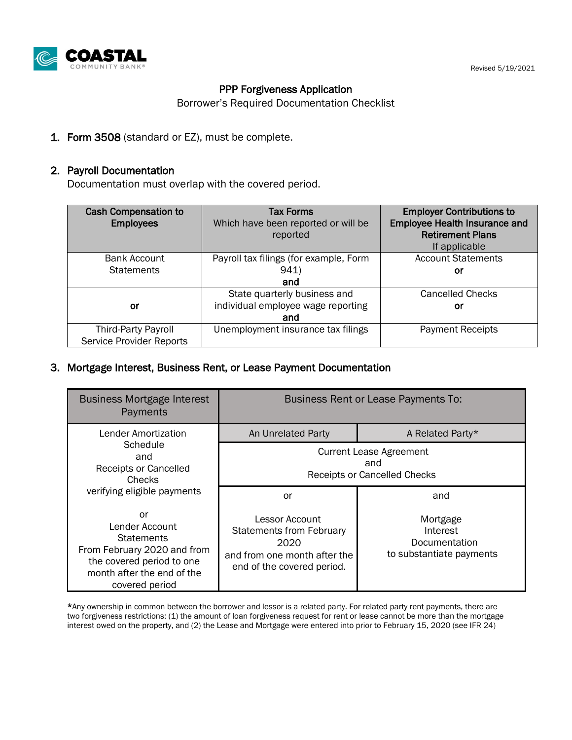

#### Revised 5/19/2021

### PPP Forgiveness Application

Borrower's Required Documentation Checklist

1. Form 3508 (standard or EZ), must be complete.

#### 2. Payroll Documentation

Documentation must overlap with the covered period.

| <b>Cash Compensation to</b><br><b>Employees</b>               | <b>Tax Forms</b><br>Which have been reported or will be<br>reported       | <b>Employer Contributions to</b><br><b>Employee Health Insurance and</b><br><b>Retirement Plans</b><br>If applicable |
|---------------------------------------------------------------|---------------------------------------------------------------------------|----------------------------------------------------------------------------------------------------------------------|
| Bank Account<br><b>Statements</b>                             | Payroll tax filings (for example, Form<br>941)<br>and                     | <b>Account Statements</b><br>Οľ                                                                                      |
| or                                                            | State quarterly business and<br>individual employee wage reporting<br>and | <b>Cancelled Checks</b><br>Οľ                                                                                        |
| <b>Third-Party Payroll</b><br><b>Service Provider Reports</b> | Unemployment insurance tax filings                                        | <b>Payment Receipts</b>                                                                                              |

#### 3. Mortgage Interest, Business Rent, or Lease Payment Documentation

| <b>Business Mortgage Interest</b><br>Payments                                                                                                         | <b>Business Rent or Lease Payments To:</b>                                                                              |                                                                   |  |
|-------------------------------------------------------------------------------------------------------------------------------------------------------|-------------------------------------------------------------------------------------------------------------------------|-------------------------------------------------------------------|--|
| Lender Amortization<br>Schedule<br>and<br><b>Receipts or Cancelled</b><br><b>Checks</b><br>verifying eligible payments                                | An Unrelated Party                                                                                                      | A Related Party*                                                  |  |
|                                                                                                                                                       | <b>Current Lease Agreement</b><br>and<br>Receipts or Cancelled Checks                                                   |                                                                   |  |
|                                                                                                                                                       | or                                                                                                                      | and                                                               |  |
| or<br>Lender Account<br><b>Statements</b><br>From February 2020 and from<br>the covered period to one<br>month after the end of the<br>covered period | Lessor Account<br><b>Statements from February</b><br>2020<br>and from one month after the<br>end of the covered period. | Mortgage<br>Interest<br>Documentation<br>to substantiate payments |  |

\*Any ownership in common between the borrower and lessor is a related party. For related party rent payments, there are two forgiveness restrictions: (1) the amount of loan forgiveness request for rent or lease cannot be more than the mortgage interest owed on the property, and (2) the Lease and Mortgage were entered into prior to February 15, 2020 (see IFR 24)